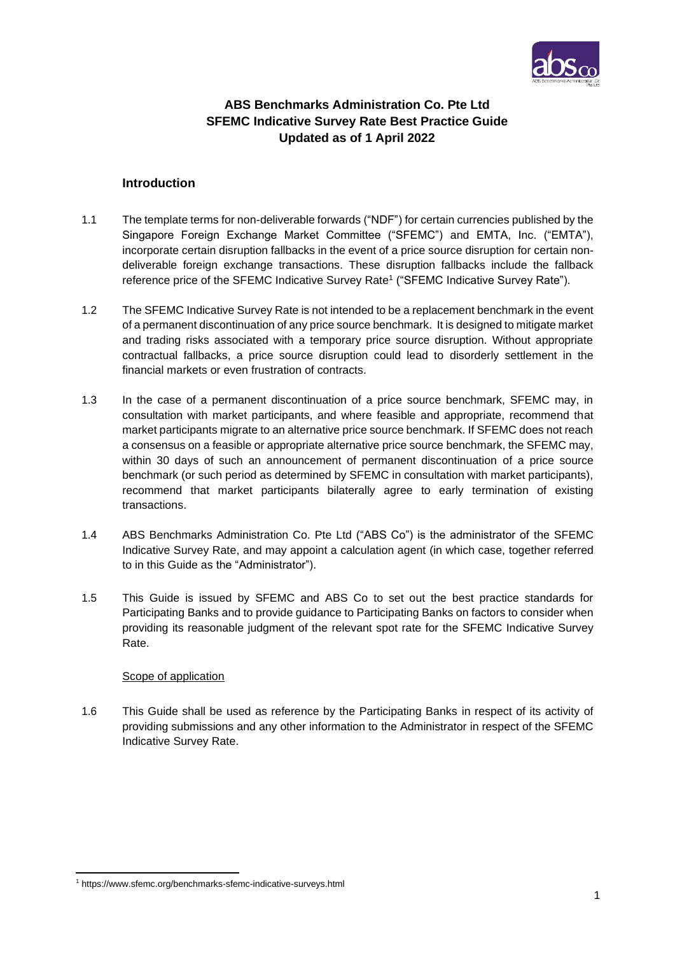

# **ABS Benchmarks Administration Co. Pte Ltd SFEMC Indicative Survey Rate Best Practice Guide Updated as of 1 April 2022**

## **Introduction**

- 1.1 The template terms for non-deliverable forwards ("NDF") for certain currencies published by the Singapore Foreign Exchange Market Committee ("SFEMC") and EMTA, Inc. ("EMTA"), incorporate certain disruption fallbacks in the event of a price source disruption for certain nondeliverable foreign exchange transactions. These disruption fallbacks include the fallback reference price of the SFEMC Indicative Survey Rate<sup>1</sup> ("SFEMC Indicative Survey Rate").
- 1.2 The SFEMC Indicative Survey Rate is not intended to be a replacement benchmark in the event of a permanent discontinuation of any price source benchmark. It is designed to mitigate market and trading risks associated with a temporary price source disruption. Without appropriate contractual fallbacks, a price source disruption could lead to disorderly settlement in the financial markets or even frustration of contracts.
- 1.3 In the case of a permanent discontinuation of a price source benchmark, SFEMC may, in consultation with market participants, and where feasible and appropriate, recommend that market participants migrate to an alternative price source benchmark. If SFEMC does not reach a consensus on a feasible or appropriate alternative price source benchmark, the SFEMC may, within 30 days of such an announcement of permanent discontinuation of a price source benchmark (or such period as determined by SFEMC in consultation with market participants), recommend that market participants bilaterally agree to early termination of existing transactions.
- 1.4 ABS Benchmarks Administration Co. Pte Ltd ("ABS Co") is the administrator of the SFEMC Indicative Survey Rate, and may appoint a calculation agent (in which case, together referred to in this Guide as the "Administrator").
- 1.5 This Guide is issued by SFEMC and ABS Co to set out the best practice standards for Participating Banks and to provide guidance to Participating Banks on factors to consider when providing its reasonable judgment of the relevant spot rate for the SFEMC Indicative Survey Rate.

## Scope of application

1.6 This Guide shall be used as reference by the Participating Banks in respect of its activity of providing submissions and any other information to the Administrator in respect of the SFEMC Indicative Survey Rate.

<sup>1</sup> https://www.sfemc.org/benchmarks-sfemc-indicative-surveys.html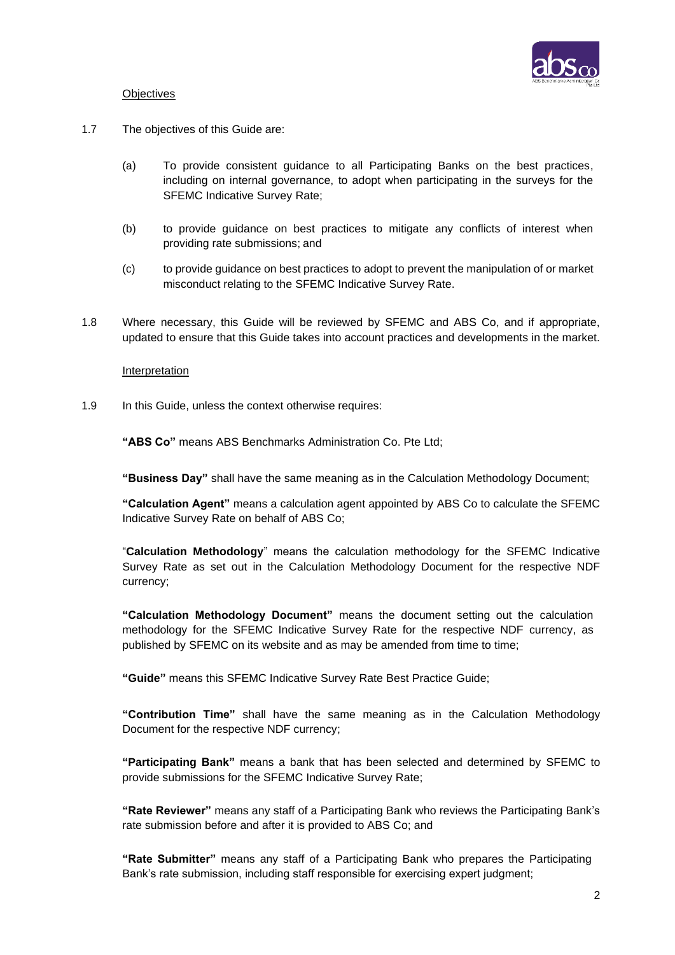

### **Objectives**

- 1.7 The objectives of this Guide are:
	- (a) To provide consistent guidance to all Participating Banks on the best practices, including on internal governance, to adopt when participating in the surveys for the SFEMC Indicative Survey Rate;
	- (b) to provide guidance on best practices to mitigate any conflicts of interest when providing rate submissions; and
	- (c) to provide guidance on best practices to adopt to prevent the manipulation of or market misconduct relating to the SFEMC Indicative Survey Rate.
- 1.8 Where necessary, this Guide will be reviewed by SFEMC and ABS Co, and if appropriate, updated to ensure that this Guide takes into account practices and developments in the market.

#### Interpretation

1.9 In this Guide, unless the context otherwise requires:

**"ABS Co"** means ABS Benchmarks Administration Co. Pte Ltd;

**"Business Day"** shall have the same meaning as in the Calculation Methodology Document;

**"Calculation Agent"** means a calculation agent appointed by ABS Co to calculate the SFEMC Indicative Survey Rate on behalf of ABS Co;

"**Calculation Methodology**" means the calculation methodology for the SFEMC Indicative Survey Rate as set out in the Calculation Methodology Document for the respective NDF currency;

**"Calculation Methodology Document"** means the document setting out the calculation methodology for the SFEMC Indicative Survey Rate for the respective NDF currency, as published by SFEMC on its website and as may be amended from time to time;

**"Guide"** means this SFEMC Indicative Survey Rate Best Practice Guide;

**"Contribution Time"** shall have the same meaning as in the Calculation Methodology Document for the respective NDF currency;

**"Participating Bank"** means a bank that has been selected and determined by SFEMC to provide submissions for the SFEMC Indicative Survey Rate;

**"Rate Reviewer"** means any staff of a Participating Bank who reviews the Participating Bank's rate submission before and after it is provided to ABS Co; and

**"Rate Submitter"** means any staff of a Participating Bank who prepares the Participating Bank's rate submission, including staff responsible for exercising expert judgment;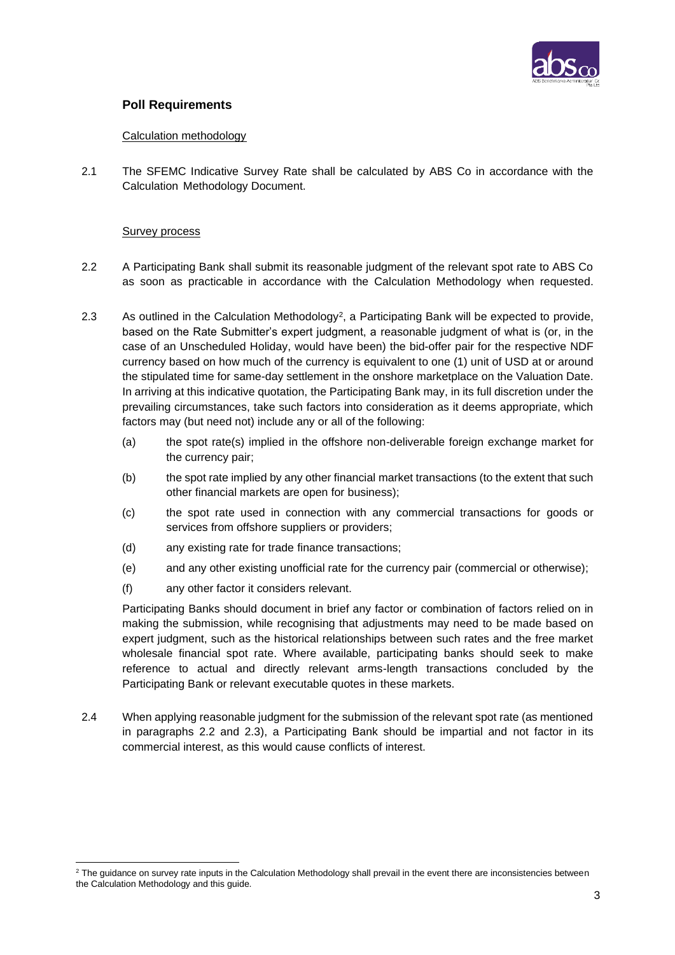

## **Poll Requirements**

## Calculation methodology

2.1 The SFEMC Indicative Survey Rate shall be calculated by ABS Co in accordance with the Calculation Methodology Document.

### Survey process

- 2.2 A Participating Bank shall submit its reasonable judgment of the relevant spot rate to ABS Co as soon as practicable in accordance with the Calculation Methodology when requested.
- 2.3 As outlined in the Calculation Methodology<sup>2</sup>, a Participating Bank will be expected to provide, based on the Rate Submitter's expert judgment, a reasonable judgment of what is (or, in the case of an Unscheduled Holiday, would have been) the bid-offer pair for the respective NDF currency based on how much of the currency is equivalent to one (1) unit of USD at or around the stipulated time for same-day settlement in the onshore marketplace on the Valuation Date. In arriving at this indicative quotation, the Participating Bank may, in its full discretion under the prevailing circumstances, take such factors into consideration as it deems appropriate, which factors may (but need not) include any or all of the following:
	- (a) the spot rate(s) implied in the offshore non-deliverable foreign exchange market for the currency pair;
	- (b) the spot rate implied by any other financial market transactions (to the extent that such other financial markets are open for business);
	- (c) the spot rate used in connection with any commercial transactions for goods or services from offshore suppliers or providers;
	- (d) any existing rate for trade finance transactions;
	- (e) and any other existing unofficial rate for the currency pair (commercial or otherwise);
	- (f) any other factor it considers relevant.

Participating Banks should document in brief any factor or combination of factors relied on in making the submission, while recognising that adjustments may need to be made based on expert judgment, such as the historical relationships between such rates and the free market wholesale financial spot rate. Where available, participating banks should seek to make reference to actual and directly relevant arms-length transactions concluded by the Participating Bank or relevant executable quotes in these markets.

2.4 When applying reasonable judgment for the submission of the relevant spot rate (as mentioned in paragraphs 2.2 and 2.3), a Participating Bank should be impartial and not factor in its commercial interest, as this would cause conflicts of interest.

 $2$  The guidance on survey rate inputs in the Calculation Methodology shall prevail in the event there are inconsistencies between the Calculation Methodology and this guide.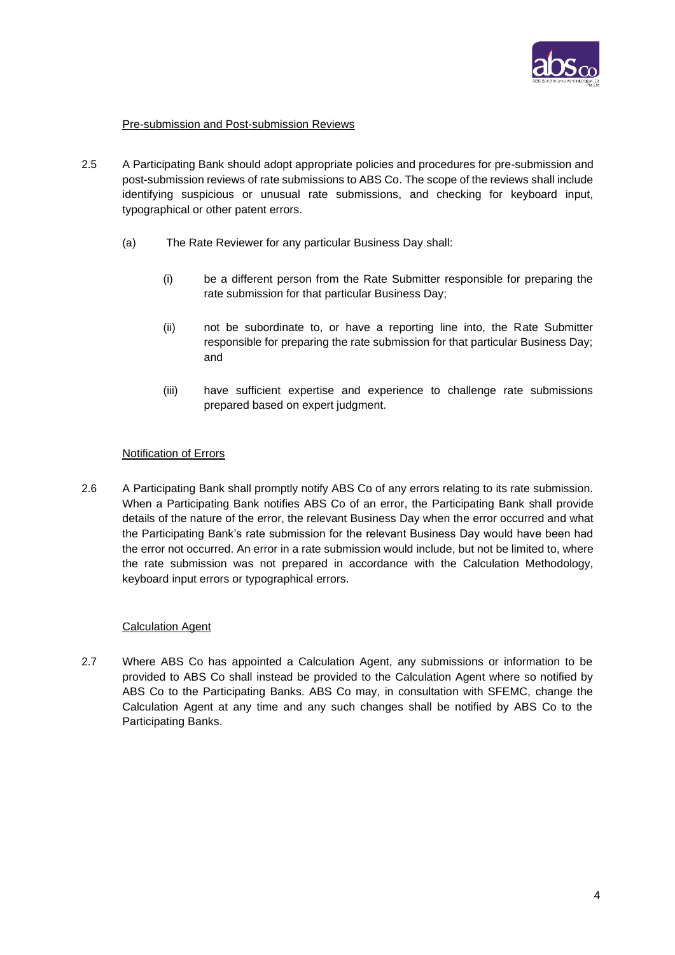

## Pre-submission and Post-submission Reviews

- 2.5 A Participating Bank should adopt appropriate policies and procedures for pre-submission and post-submission reviews of rate submissions to ABS Co. The scope of the reviews shall include identifying suspicious or unusual rate submissions, and checking for keyboard input, typographical or other patent errors.
	- (a) The Rate Reviewer for any particular Business Day shall:
		- (i) be a different person from the Rate Submitter responsible for preparing the rate submission for that particular Business Day;
		- (ii) not be subordinate to, or have a reporting line into, the Rate Submitter responsible for preparing the rate submission for that particular Business Day; and
		- (iii) have sufficient expertise and experience to challenge rate submissions prepared based on expert judgment.

#### Notification of Errors

2.6 A Participating Bank shall promptly notify ABS Co of any errors relating to its rate submission. When a Participating Bank notifies ABS Co of an error, the Participating Bank shall provide details of the nature of the error, the relevant Business Day when the error occurred and what the Participating Bank's rate submission for the relevant Business Day would have been had the error not occurred. An error in a rate submission would include, but not be limited to, where the rate submission was not prepared in accordance with the Calculation Methodology, keyboard input errors or typographical errors.

#### Calculation Agent

2.7 Where ABS Co has appointed a Calculation Agent, any submissions or information to be provided to ABS Co shall instead be provided to the Calculation Agent where so notified by ABS Co to the Participating Banks. ABS Co may, in consultation with SFEMC, change the Calculation Agent at any time and any such changes shall be notified by ABS Co to the Participating Banks.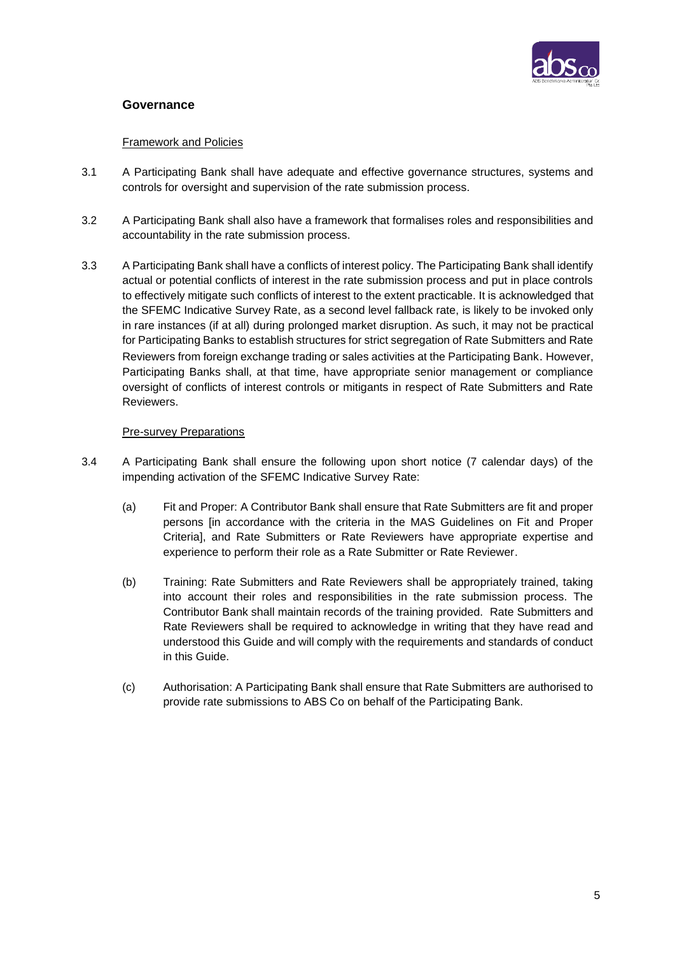

## **Governance**

### Framework and Policies

- 3.1 A Participating Bank shall have adequate and effective governance structures, systems and controls for oversight and supervision of the rate submission process.
- 3.2 A Participating Bank shall also have a framework that formalises roles and responsibilities and accountability in the rate submission process.
- 3.3 A Participating Bank shall have a conflicts of interest policy. The Participating Bank shall identify actual or potential conflicts of interest in the rate submission process and put in place controls to effectively mitigate such conflicts of interest to the extent practicable. It is acknowledged that the SFEMC Indicative Survey Rate, as a second level fallback rate, is likely to be invoked only in rare instances (if at all) during prolonged market disruption. As such, it may not be practical for Participating Banks to establish structures for strict segregation of Rate Submitters and Rate Reviewers from foreign exchange trading or sales activities at the Participating Bank. However, Participating Banks shall, at that time, have appropriate senior management or compliance oversight of conflicts of interest controls or mitigants in respect of Rate Submitters and Rate Reviewers.

## Pre-survey Preparations

- 3.4 A Participating Bank shall ensure the following upon short notice (7 calendar days) of the impending activation of the SFEMC Indicative Survey Rate:
	- (a) Fit and Proper: A Contributor Bank shall ensure that Rate Submitters are fit and proper persons [in accordance with the criteria in the MAS Guidelines on Fit and Proper Criteria], and Rate Submitters or Rate Reviewers have appropriate expertise and experience to perform their role as a Rate Submitter or Rate Reviewer.
	- (b) Training: Rate Submitters and Rate Reviewers shall be appropriately trained, taking into account their roles and responsibilities in the rate submission process. The Contributor Bank shall maintain records of the training provided. Rate Submitters and Rate Reviewers shall be required to acknowledge in writing that they have read and understood this Guide and will comply with the requirements and standards of conduct in this Guide.
	- (c) Authorisation: A Participating Bank shall ensure that Rate Submitters are authorised to provide rate submissions to ABS Co on behalf of the Participating Bank.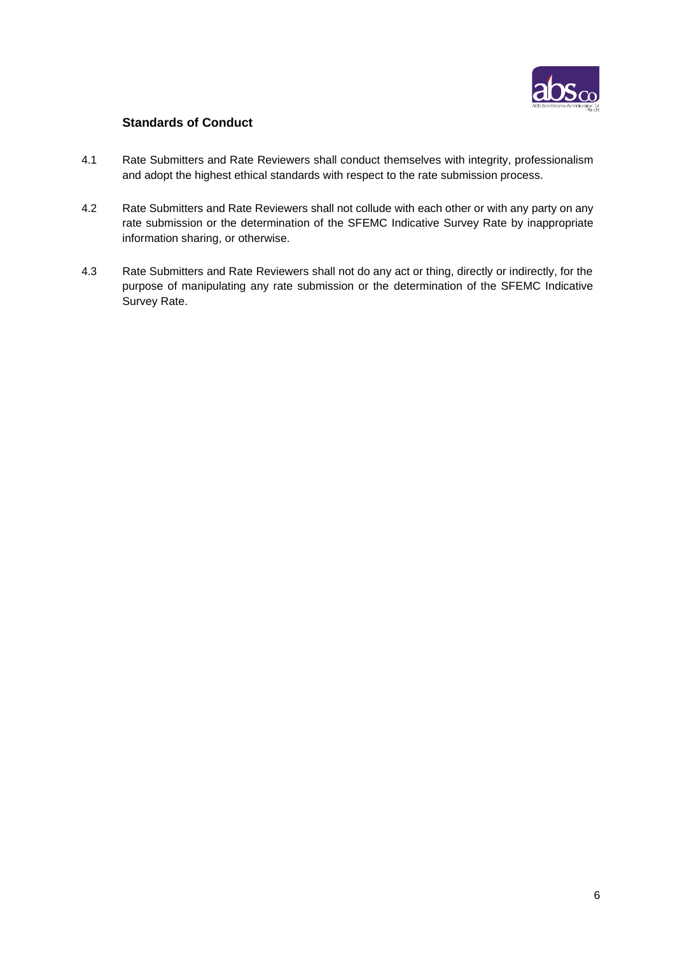

# **Standards of Conduct**

- 4.1 Rate Submitters and Rate Reviewers shall conduct themselves with integrity, professionalism and adopt the highest ethical standards with respect to the rate submission process.
- 4.2 Rate Submitters and Rate Reviewers shall not collude with each other or with any party on any rate submission or the determination of the SFEMC Indicative Survey Rate by inappropriate information sharing, or otherwise.
- 4.3 Rate Submitters and Rate Reviewers shall not do any act or thing, directly or indirectly, for the purpose of manipulating any rate submission or the determination of the SFEMC Indicative Survey Rate.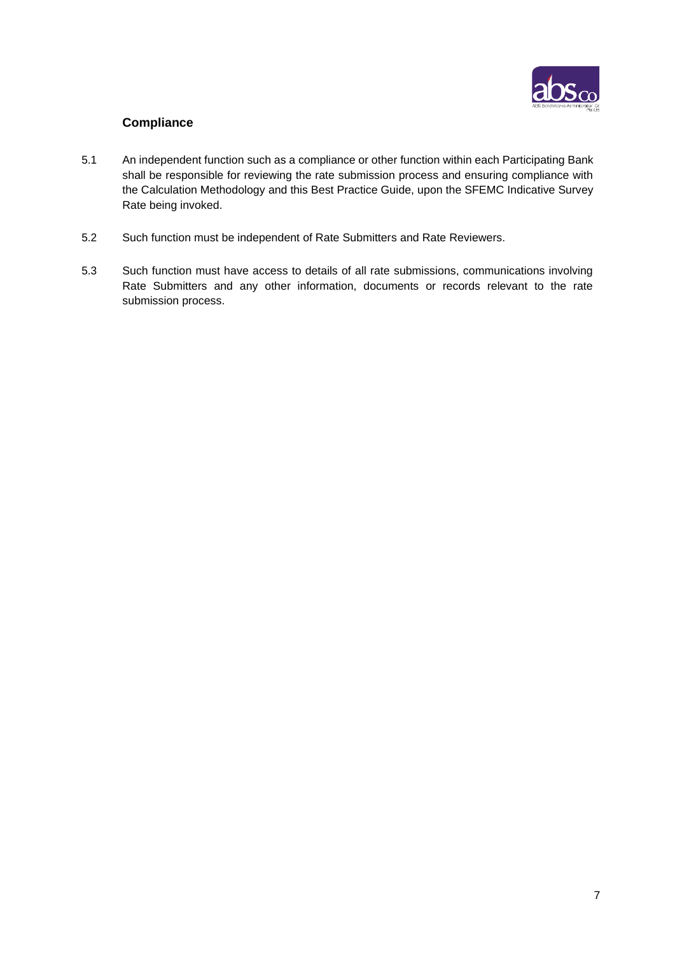

# **Compliance**

- 5.1 An independent function such as a compliance or other function within each Participating Bank shall be responsible for reviewing the rate submission process and ensuring compliance with the Calculation Methodology and this Best Practice Guide, upon the SFEMC Indicative Survey Rate being invoked.
- 5.2 Such function must be independent of Rate Submitters and Rate Reviewers.
- 5.3 Such function must have access to details of all rate submissions, communications involving Rate Submitters and any other information, documents or records relevant to the rate submission process.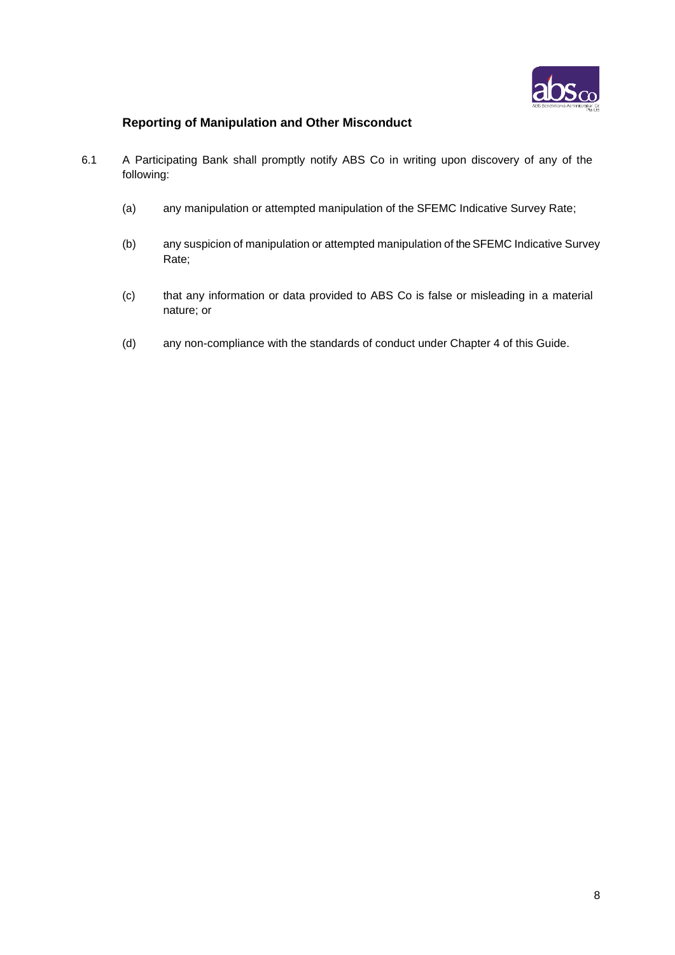

# **Reporting of Manipulation and Other Misconduct**

- 6.1 A Participating Bank shall promptly notify ABS Co in writing upon discovery of any of the following:
	- (a) any manipulation or attempted manipulation of the SFEMC Indicative Survey Rate;
	- (b) any suspicion of manipulation or attempted manipulation of the SFEMC Indicative Survey Rate;
	- (c) that any information or data provided to ABS Co is false or misleading in a material nature; or
	- (d) any non-compliance with the standards of conduct under Chapter 4 of this Guide.